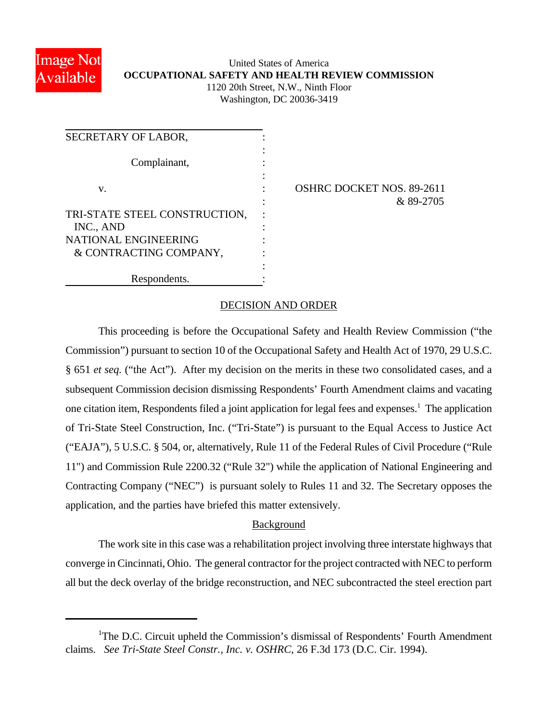

# United States of America **OCCUPATIONAL SAFETY AND HEALTH REVIEW COMMISSION** 1120 20th Street, N.W., Ninth Floor

Washington, DC 20036-3419

| SECRETARY OF LABOR,                            |  |
|------------------------------------------------|--|
| Complainant,                                   |  |
| v.                                             |  |
| TRI-STATE STEEL CONSTRUCTION,<br>INC., AND     |  |
| NATIONAL ENGINEERING<br>& CONTRACTING COMPANY, |  |
| Respondents.                                   |  |

IRC DOCKET NOS. 89-2611 : & 89-2705

## DECISION AND ORDER

This proceeding is before the Occupational Safety and Health Review Commission ("the Commission") pursuant to section 10 of the Occupational Safety and Health Act of 1970, 29 U.S.C. § 651 *et seq.* ("the Act"). After my decision on the merits in these two consolidated cases, and a subsequent Commission decision dismissing Respondents' Fourth Amendment claims and vacating one citation item, Respondents filed a joint application for legal fees and expenses.<sup>1</sup> The application of Tri-State Steel Construction, Inc. ("Tri-State") is pursuant to the Equal Access to Justice Act ("EAJA"), 5 U.S.C. § 504, or, alternatively, Rule 11 of the Federal Rules of Civil Procedure ("Rule 11") and Commission Rule 2200.32 ("Rule 32") while the application of National Engineering and Contracting Company ("NEC") is pursuant solely to Rules 11 and 32. The Secretary opposes the application, and the parties have briefed this matter extensively.

## Background

The work site in this case was a rehabilitation project involving three interstate highways that converge in Cincinnati, Ohio. The general contractor for the project contracted with NEC to perform all but the deck overlay of the bridge reconstruction, and NEC subcontracted the steel erection part

<sup>&</sup>lt;sup>1</sup>The D.C. Circuit upheld the Commission's dismissal of Respondents' Fourth Amendment claims. *See Tri-State Steel Constr., Inc. v. OSHRC*, 26 F.3d 173 (D.C. Cir. 1994).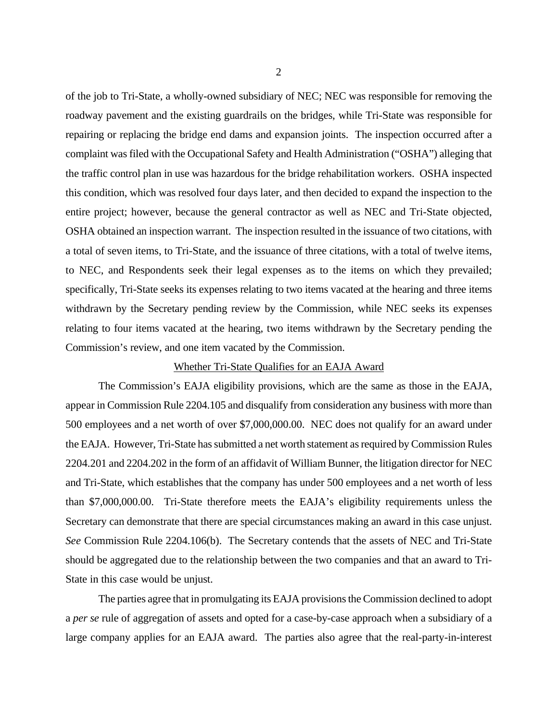of the job to Tri-State, a wholly-owned subsidiary of NEC; NEC was responsible for removing the roadway pavement and the existing guardrails on the bridges, while Tri-State was responsible for repairing or replacing the bridge end dams and expansion joints. The inspection occurred after a complaint was filed with the Occupational Safety and Health Administration ("OSHA") alleging that the traffic control plan in use was hazardous for the bridge rehabilitation workers. OSHA inspected this condition, which was resolved four days later, and then decided to expand the inspection to the entire project; however, because the general contractor as well as NEC and Tri-State objected, OSHA obtained an inspection warrant. The inspection resulted in the issuance of two citations, with a total of seven items, to Tri-State, and the issuance of three citations, with a total of twelve items, to NEC, and Respondents seek their legal expenses as to the items on which they prevailed; specifically, Tri-State seeks its expenses relating to two items vacated at the hearing and three items withdrawn by the Secretary pending review by the Commission, while NEC seeks its expenses relating to four items vacated at the hearing, two items withdrawn by the Secretary pending the Commission's review, and one item vacated by the Commission.

#### Whether Tri-State Qualifies for an EAJA Award

The Commission's EAJA eligibility provisions, which are the same as those in the EAJA, appear in Commission Rule 2204.105 and disqualify from consideration any business with more than 500 employees and a net worth of over \$7,000,000.00. NEC does not qualify for an award under the EAJA. However, Tri-State has submitted a net worth statement as required by Commission Rules 2204.201 and 2204.202 in the form of an affidavit of William Bunner, the litigation director for NEC and Tri-State, which establishes that the company has under 500 employees and a net worth of less than \$7,000,000.00. Tri-State therefore meets the EAJA's eligibility requirements unless the Secretary can demonstrate that there are special circumstances making an award in this case unjust. *See* Commission Rule 2204.106(b). The Secretary contends that the assets of NEC and Tri-State should be aggregated due to the relationship between the two companies and that an award to Tri-State in this case would be unjust.

The parties agree that in promulgating its EAJA provisions the Commission declined to adopt a *per se* rule of aggregation of assets and opted for a case-by-case approach when a subsidiary of a large company applies for an EAJA award. The parties also agree that the real-party-in-interest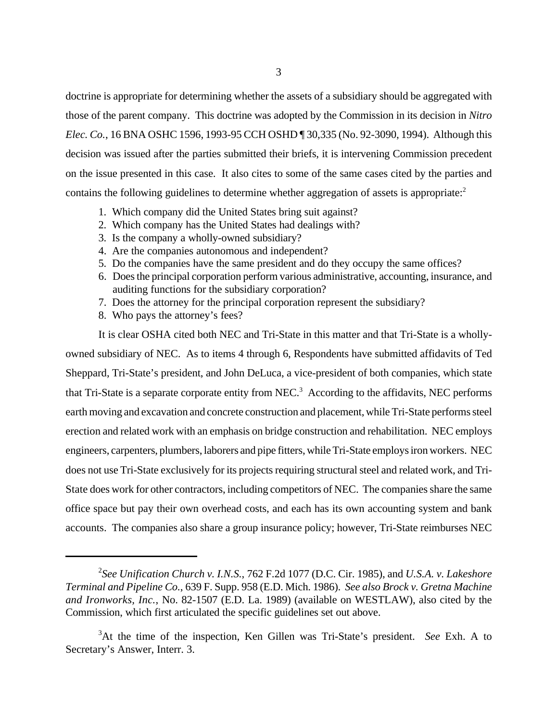doctrine is appropriate for determining whether the assets of a subsidiary should be aggregated with those of the parent company. This doctrine was adopted by the Commission in its decision in *Nitro Elec. Co.*, 16 BNA OSHC 1596, 1993-95 CCH OSHD ¶ 30,335 (No. 92-3090, 1994). Although this decision was issued after the parties submitted their briefs, it is intervening Commission precedent on the issue presented in this case. It also cites to some of the same cases cited by the parties and contains the following guidelines to determine whether aggregation of assets is appropriate: $2^2$ 

- 1. Which company did the United States bring suit against?
- 2. Which company has the United States had dealings with?
- 3. Is the company a wholly-owned subsidiary?
- 4. Are the companies autonomous and independent?
- 5. Do the companies have the same president and do they occupy the same offices?
- 6. Does the principal corporation perform various administrative, accounting, insurance, and auditing functions for the subsidiary corporation?
- 7. Does the attorney for the principal corporation represent the subsidiary?
- 8. Who pays the attorney's fees?

It is clear OSHA cited both NEC and Tri-State in this matter and that Tri-State is a whollyowned subsidiary of NEC. As to items 4 through 6, Respondents have submitted affidavits of Ted Sheppard, Tri-State's president, and John DeLuca, a vice-president of both companies, which state that Tri-State is a separate corporate entity from NEC.<sup>3</sup> According to the affidavits, NEC performs earth moving and excavation and concrete construction and placement, while Tri-State performs steel erection and related work with an emphasis on bridge construction and rehabilitation. NEC employs engineers, carpenters, plumbers, laborers and pipe fitters, while Tri-State employs iron workers. NEC does not use Tri-State exclusively for its projects requiring structural steel and related work, and Tri-State does work for other contractors, including competitors of NEC. The companies share the same office space but pay their own overhead costs, and each has its own accounting system and bank accounts. The companies also share a group insurance policy; however, Tri-State reimburses NEC

<sup>2</sup> *See Unification Church v. I.N.S.*, 762 F.2d 1077 (D.C. Cir. 1985), and *U.S.A. v. Lakeshore Terminal and Pipeline Co.*, 639 F. Supp. 958 (E.D. Mich. 1986). *See also Brock v. Gretna Machine and Ironworks, Inc.*, No. 82-1507 (E.D. La. 1989) (available on WESTLAW), also cited by the Commission, which first articulated the specific guidelines set out above.

<sup>3</sup>At the time of the inspection, Ken Gillen was Tri-State's president. *See* Exh. A to Secretary's Answer, Interr. 3.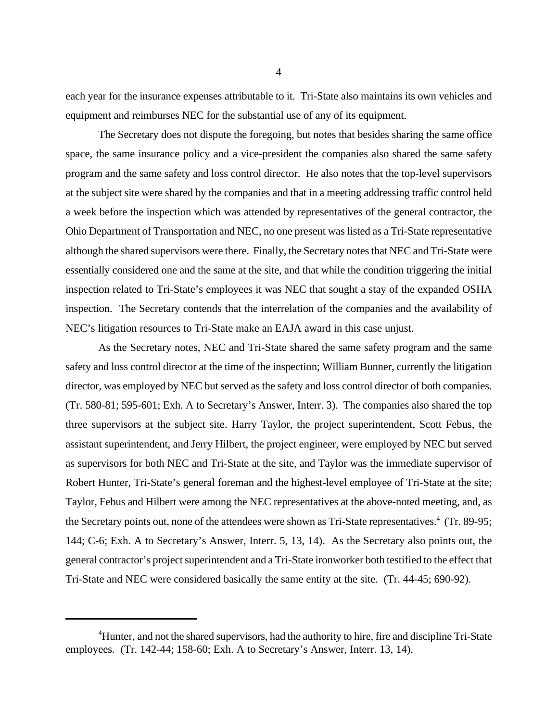each year for the insurance expenses attributable to it. Tri-State also maintains its own vehicles and equipment and reimburses NEC for the substantial use of any of its equipment.

The Secretary does not dispute the foregoing, but notes that besides sharing the same office space, the same insurance policy and a vice-president the companies also shared the same safety program and the same safety and loss control director. He also notes that the top-level supervisors at the subject site were shared by the companies and that in a meeting addressing traffic control held a week before the inspection which was attended by representatives of the general contractor, the Ohio Department of Transportation and NEC, no one present was listed as a Tri-State representative although the shared supervisors were there. Finally, the Secretary notes that NEC and Tri-State were essentially considered one and the same at the site, and that while the condition triggering the initial inspection related to Tri-State's employees it was NEC that sought a stay of the expanded OSHA inspection. The Secretary contends that the interrelation of the companies and the availability of NEC's litigation resources to Tri-State make an EAJA award in this case unjust.

As the Secretary notes, NEC and Tri-State shared the same safety program and the same safety and loss control director at the time of the inspection; William Bunner, currently the litigation director, was employed by NEC but served as the safety and loss control director of both companies. (Tr. 580-81; 595-601; Exh. A to Secretary's Answer, Interr. 3). The companies also shared the top three supervisors at the subject site. Harry Taylor, the project superintendent, Scott Febus, the assistant superintendent, and Jerry Hilbert, the project engineer, were employed by NEC but served as supervisors for both NEC and Tri-State at the site, and Taylor was the immediate supervisor of Robert Hunter, Tri-State's general foreman and the highest-level employee of Tri-State at the site; Taylor, Febus and Hilbert were among the NEC representatives at the above-noted meeting, and, as the Secretary points out, none of the attendees were shown as Tri-State representatives.<sup>4</sup> (Tr. 89-95; 144; C-6; Exh. A to Secretary's Answer, Interr. 5, 13, 14). As the Secretary also points out, the general contractor's project superintendent and a Tri-State ironworker both testified to the effect that Tri-State and NEC were considered basically the same entity at the site. (Tr. 44-45; 690-92).

<sup>&</sup>lt;sup>4</sup>Hunter, and not the shared supervisors, had the authority to hire, fire and discipline Tri-State employees. (Tr. 142-44; 158-60; Exh. A to Secretary's Answer, Interr. 13, 14).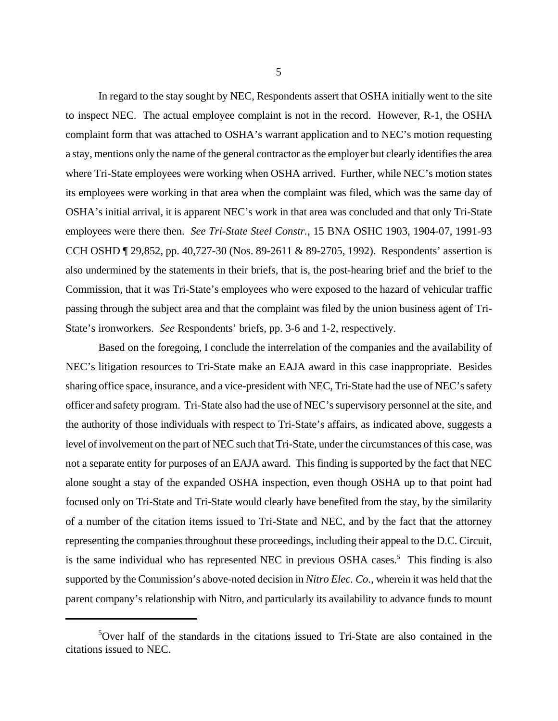In regard to the stay sought by NEC, Respondents assert that OSHA initially went to the site to inspect NEC. The actual employee complaint is not in the record. However, R-1, the OSHA complaint form that was attached to OSHA's warrant application and to NEC's motion requesting a stay, mentions only the name of the general contractor as the employer but clearly identifies the area where Tri-State employees were working when OSHA arrived. Further, while NEC's motion states its employees were working in that area when the complaint was filed, which was the same day of OSHA's initial arrival, it is apparent NEC's work in that area was concluded and that only Tri-State employees were there then. *See Tri-State Steel Constr.*, 15 BNA OSHC 1903, 1904-07, 1991-93 CCH OSHD ¶ 29,852, pp. 40,727-30 (Nos. 89-2611 & 89-2705, 1992). Respondents' assertion is also undermined by the statements in their briefs, that is, the post-hearing brief and the brief to the Commission, that it was Tri-State's employees who were exposed to the hazard of vehicular traffic passing through the subject area and that the complaint was filed by the union business agent of Tri-State's ironworkers. *See* Respondents' briefs, pp. 3-6 and 1-2, respectively.

Based on the foregoing, I conclude the interrelation of the companies and the availability of NEC's litigation resources to Tri-State make an EAJA award in this case inappropriate. Besides sharing office space, insurance, and a vice-president with NEC, Tri-State had the use of NEC's safety officer and safety program. Tri-State also had the use of NEC's supervisory personnel at the site, and the authority of those individuals with respect to Tri-State's affairs, as indicated above, suggests a level of involvement on the part of NEC such that Tri-State, under the circumstances of this case, was not a separate entity for purposes of an EAJA award. This finding is supported by the fact that NEC alone sought a stay of the expanded OSHA inspection, even though OSHA up to that point had focused only on Tri-State and Tri-State would clearly have benefited from the stay, by the similarity of a number of the citation items issued to Tri-State and NEC, and by the fact that the attorney representing the companies throughout these proceedings, including their appeal to the D.C. Circuit, is the same individual who has represented NEC in previous OSHA cases.<sup>5</sup> This finding is also supported by the Commission's above-noted decision in *Nitro Elec. Co.*, wherein it was held that the parent company's relationship with Nitro, and particularly its availability to advance funds to mount

 $5$ Over half of the standards in the citations issued to Tri-State are also contained in the citations issued to NEC.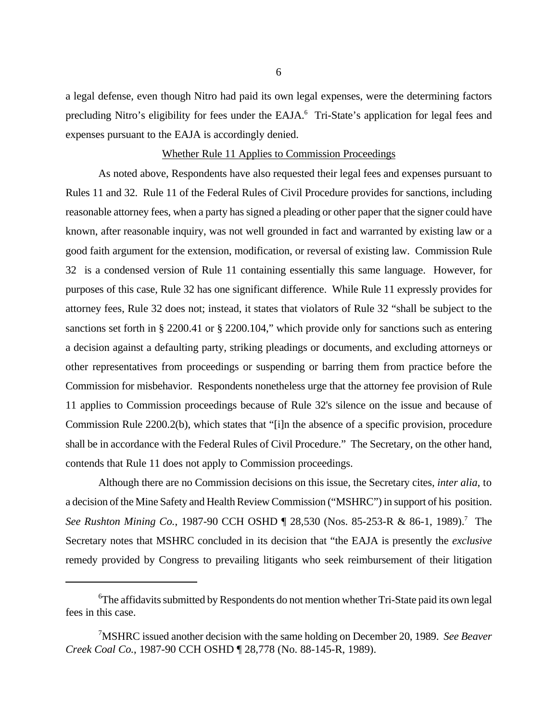a legal defense, even though Nitro had paid its own legal expenses, were the determining factors precluding Nitro's eligibility for fees under the EAJA.<sup>6</sup> Tri-State's application for legal fees and expenses pursuant to the EAJA is accordingly denied.

#### Whether Rule 11 Applies to Commission Proceedings

As noted above, Respondents have also requested their legal fees and expenses pursuant to Rules 11 and 32. Rule 11 of the Federal Rules of Civil Procedure provides for sanctions, including reasonable attorney fees, when a party has signed a pleading or other paper that the signer could have known, after reasonable inquiry, was not well grounded in fact and warranted by existing law or a good faith argument for the extension, modification, or reversal of existing law. Commission Rule 32 is a condensed version of Rule 11 containing essentially this same language. However, for purposes of this case, Rule 32 has one significant difference. While Rule 11 expressly provides for attorney fees, Rule 32 does not; instead, it states that violators of Rule 32 "shall be subject to the sanctions set forth in § 2200.41 or § 2200.104," which provide only for sanctions such as entering a decision against a defaulting party, striking pleadings or documents, and excluding attorneys or other representatives from proceedings or suspending or barring them from practice before the Commission for misbehavior. Respondents nonetheless urge that the attorney fee provision of Rule 11 applies to Commission proceedings because of Rule 32's silence on the issue and because of Commission Rule 2200.2(b), which states that "[i]n the absence of a specific provision, procedure shall be in accordance with the Federal Rules of Civil Procedure." The Secretary, on the other hand, contends that Rule 11 does not apply to Commission proceedings.

Although there are no Commission decisions on this issue, the Secretary cites, *inter alia*, to a decision of the Mine Safety and Health Review Commission ("MSHRC") in support of his position. See Rushton Mining Co., 1987-90 CCH OSHD ¶ 28,530 (Nos. 85-253-R & 86-1, 1989).<sup>7</sup> The Secretary notes that MSHRC concluded in its decision that "the EAJA is presently the *exclusive* remedy provided by Congress to prevailing litigants who seek reimbursement of their litigation

<sup>&</sup>lt;sup>6</sup>The affidavits submitted by Respondents do not mention whether Tri-State paid its own legal fees in this case.

<sup>7</sup>MSHRC issued another decision with the same holding on December 20, 1989. *See Beaver Creek Coal Co.*, 1987-90 CCH OSHD ¶ 28,778 (No. 88-145-R, 1989).